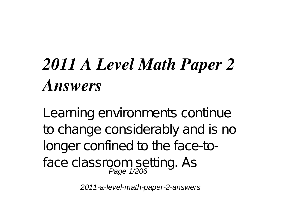## *2011 A Level Math Paper 2 Answers*

Learning environments continue to change considerably and is no longer confined to the face-toface classroom setting. As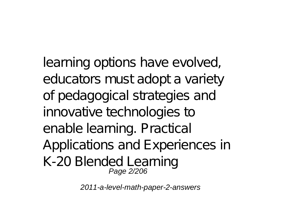learning options have evolved, educators must adopt a variety of pedagogical strategies and innovative technologies to enable learning. Practical Applications and Experiences in K-20 Blended Learning Page 2/206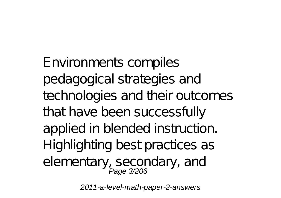Environments compiles pedagogical strategies and technologies and their outcomes that have been successfully applied in blended instruction. Highlighting best practices as elementary, secondary, and<br>Page 3/206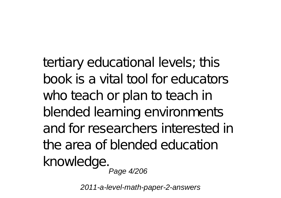tertiary educational levels; this book is a vital tool for educators who teach or plan to teach in blended learning environments and for researchers interested in the area of blended education knowledge. Page 4/206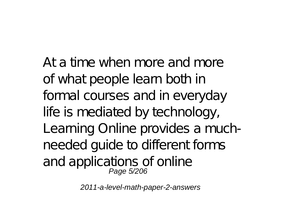At a time when more and more of what people learn both in formal courses and in everyday life is mediated by technology, Learning Online provides a muchneeded guide to different forms and applications of online<br>Page 5/206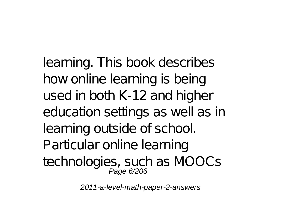learning. This book describes how online learning is being used in both K-12 and higher education settings as well as in learning outside of school. Particular online learning technologies, such as MOOCs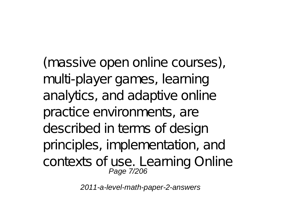(massive open online courses), multi-player games, learning analytics, and adaptive online practice environments, are described in terms of design principles, implementation, and contexts of use. Learning Online Page 7/206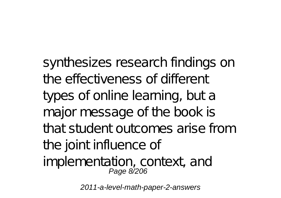synthesizes research findings on the effectiveness of different types of online learning, but a major message of the book is that student outcomes arise from the joint influence of implementation, context, and Page 8/206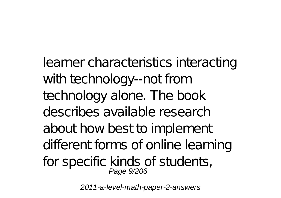learner characteristics interacting with technology--not from technology alone. The book describes available research about how best to implement different forms of online learning for specific kinds of students, Page 9/206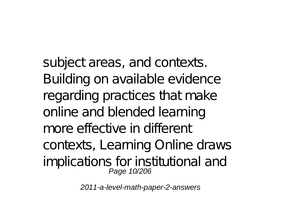subject areas, and contexts. Building on available evidence regarding practices that make online and blended learning more effective in different contexts, Learning Online draws implications for institutional and Page 10/206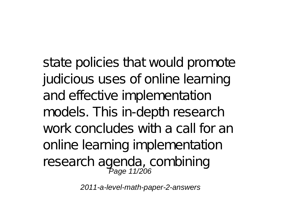state policies that would promote judicious uses of online learning and effective implementation models. This in-depth research work concludes with a call for an online learning implementation research agenda, combining<br>Page 11/206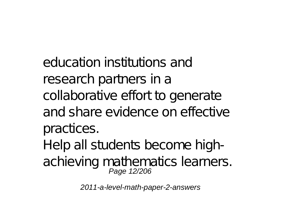education institutions and research partners in a collaborative effort to generate and share evidence on effective practices. Help all students become highachieving mathematics learners.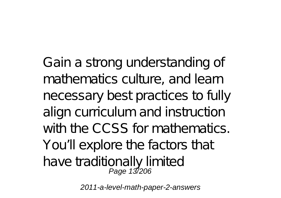Gain a strong understanding of mathematics culture, and learn necessary best practices to fully align curriculum and instruction with the CCSS for mathematics. You'll explore the factors that have traditionally limited<br>Page 13/206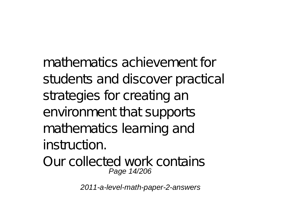mathematics achievement for students and discover practical strategies for creating an environment that supports mathematics learning and instruction.

Our collected work contains Page 14/206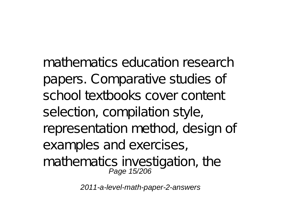mathematics education research papers. Comparative studies of school textbooks cover content selection, compilation style, representation method, design of examples and exercises, mathematics investigation, the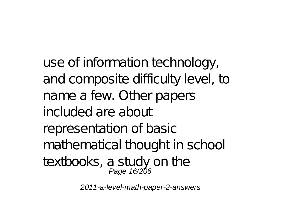use of information technology, and composite difficulty level, to name a few. Other papers included are about representation of basic mathematical thought in school textbooks, a study on the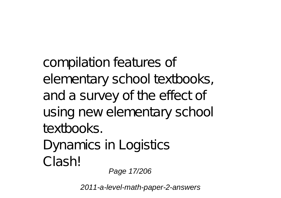compilation features of elementary school textbooks, and a survey of the effect of using new elementary school textbooks. Dynamics in Logistics Clash! Page 17/206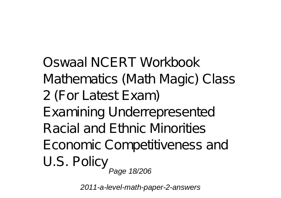Oswaal NCERT Workbook Mathematics (Math Magic) Class 2 (For Latest Exam) Examining Underrepresented Racial and Ethnic Minorities Economic Competitiveness and U.S. Policy Page 18/206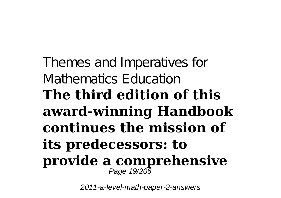Themes and Imperatives for Mathematics Education **The third edition of this award-winning Handbook continues the mission of its predecessors: to provide a comprehensive** Page 19/206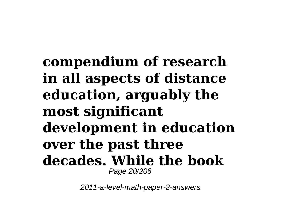**compendium of research in all aspects of distance education, arguably the most significant development in education over the past three decades. While the book** Page 20/206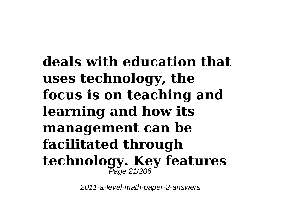**deals with education that uses technology, the focus is on teaching and learning and how its management can be facilitated through technology. Key features** Page 21/206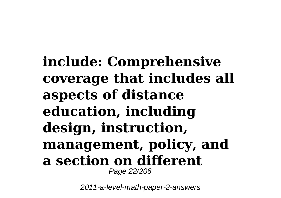**include: Comprehensive coverage that includes all aspects of distance education, including design, instruction, management, policy, and a section on different** Page 22/206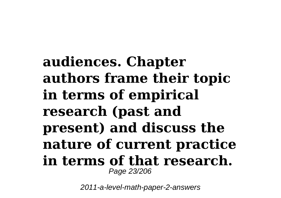**audiences. Chapter authors frame their topic in terms of empirical research (past and present) and discuss the nature of current practice in terms of that research.** Page 23/206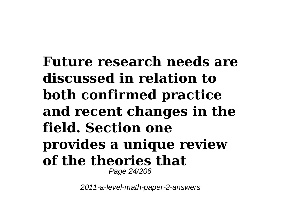**Future research needs are discussed in relation to both confirmed practice and recent changes in the field. Section one provides a unique review of the theories that** Page 24/206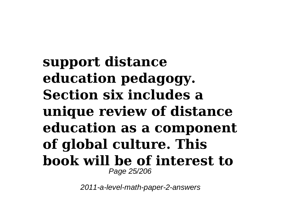**support distance education pedagogy. Section six includes a unique review of distance education as a component of global culture. This book will be of interest to** Page 25/206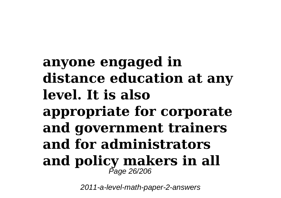## **anyone engaged in distance education at any level. It is also appropriate for corporate and government trainers and for administrators and policy makers in all** Page 26/206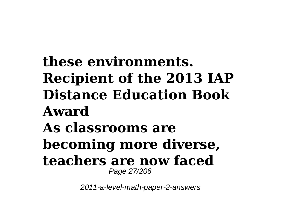**these environments. Recipient of the 2013 IAP Distance Education Book Award As classrooms are becoming more diverse, teachers are now faced** Page 27/206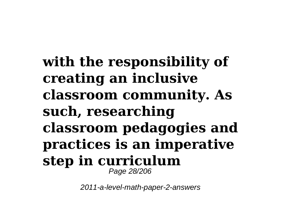**with the responsibility of creating an inclusive classroom community. As such, researching classroom pedagogies and practices is an imperative step in curriculum** Page 28/206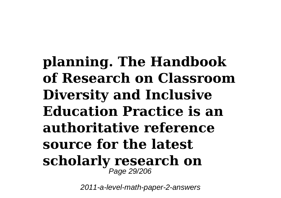**planning. The Handbook of Research on Classroom Diversity and Inclusive Education Practice is an authoritative reference source for the latest scholarly research on** Page 29/206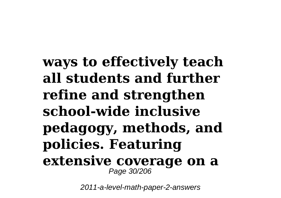**ways to effectively teach all students and further refine and strengthen school-wide inclusive pedagogy, methods, and policies. Featuring extensive coverage on a** Page 30/206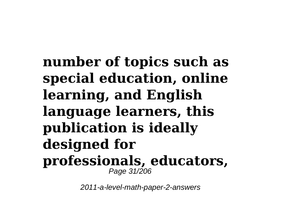**number of topics such as special education, online learning, and English language learners, this publication is ideally designed for professionals, educators,** Page 31/206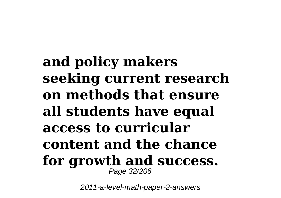**and policy makers seeking current research on methods that ensure all students have equal access to curricular content and the chance for growth and success.** Page 32/206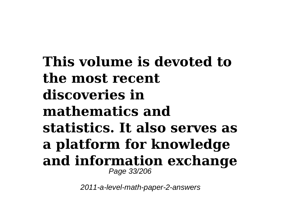**This volume is devoted to the most recent discoveries in mathematics and statistics. It also serves as a platform for knowledge and information exchange** Page 33/206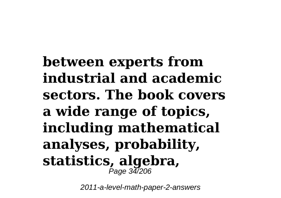**between experts from industrial and academic sectors. The book covers a wide range of topics, including mathematical analyses, probability, statistics, algebra,** Page 34/206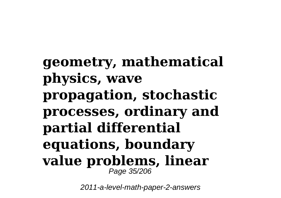**geometry, mathematical physics, wave propagation, stochastic processes, ordinary and partial differential equations, boundary value problems, linear** Page 35/206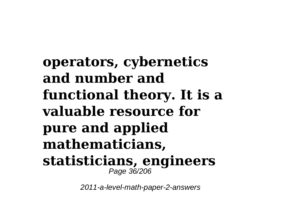**operators, cybernetics and number and functional theory. It is a valuable resource for pure and applied mathematicians, statisticians, engineers** Page 36/206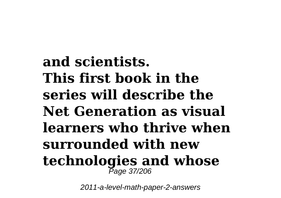**and scientists. This first book in the series will describe the Net Generation as visual learners who thrive when surrounded with new technologies and whose** Page 37/206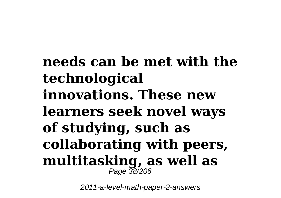**needs can be met with the technological innovations. These new learners seek novel ways of studying, such as collaborating with peers, multitasking, as well as** Page 38/206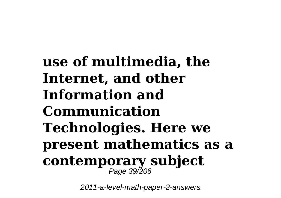**use of multimedia, the Internet, and other Information and Communication Technologies. Here we present mathematics as a contemporary subject** Page 39/206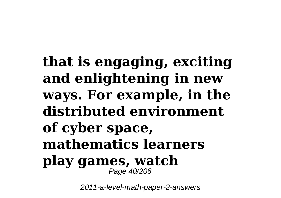**that is engaging, exciting and enlightening in new ways. For example, in the distributed environment of cyber space, mathematics learners play games, watch** Page 40/206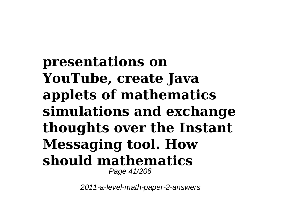**presentations on YouTube, create Java applets of mathematics simulations and exchange thoughts over the Instant Messaging tool. How should mathematics** Page 41/206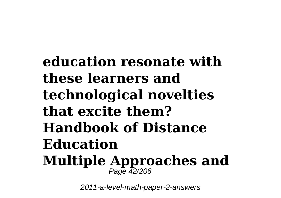**education resonate with these learners and technological novelties that excite them? Handbook of Distance Education Multiple Approaches and** Page 42/206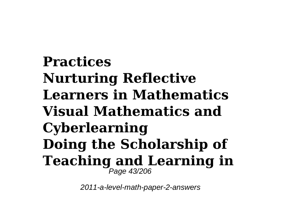**Practices Nurturing Reflective Learners in Mathematics Visual Mathematics and Cyberlearning Doing the Scholarship of Teaching and Learning in** Page 43/206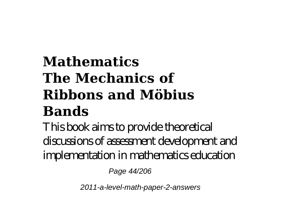## **Mathematics The Mechanics of Ribbons and Möbius Bands**

This book aims to provide theoretical discussions of assessment development and implementation in mathematics education

Page 44/206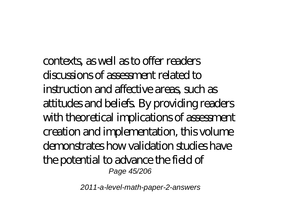contexts, as well as to offer readers discussions of assessment related to instruction and affective areas, such as attitudes and beliefs. By providing readers with theoretical implications of assessment creation and implementation, this volume demonstrates how validation studies have the potential to advance the field of Page 45/206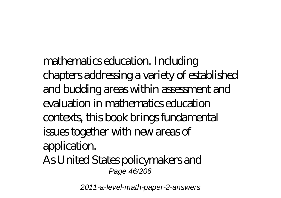mathematics education. Including chapters addressing a variety of established and budding areas within assessment and evaluation in mathematics education contexts, this book brings fundamental issues together with new areas of application. As United States policymakers and Page 46/206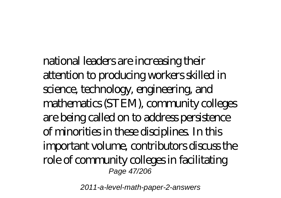national leaders are increasing their attention to producing workers skilled in science, technology, engineering, and mathematics (STEM), community colleges are being called on to address persistence of minorities in these disciplines. In this important volume, contributors discuss the role of community colleges in facilitating Page 47/206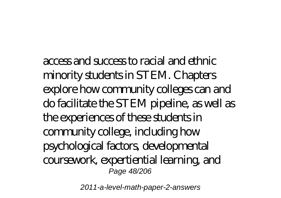access and success to racial and ethnic minority students in STEM. Chapters explore how community colleges can and do facilitate the STEM pipeline, as well as the experiences of these students in community college, including how psychological factors, developmental coursework, expertiential learning, and Page 48/206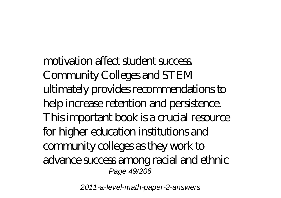motivation affect student success. Community Colleges and STEM ultimately provides recommendations to help increase retention and persistence. This important book is a crucial resource for higher education institutions and community colleges as they work to advance success among racial and ethnic Page 49/206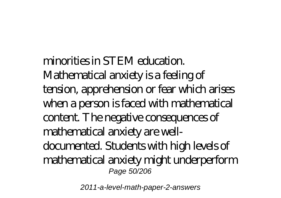minorities in STEM education. Mathematical anxiety is a feeling of tension, apprehension or fear which arises when a person is faced with mathematical content. The negative consequences of mathematical anxiety are welldocumented. Students with high levels of mathematical anxiety might underperform Page 50/206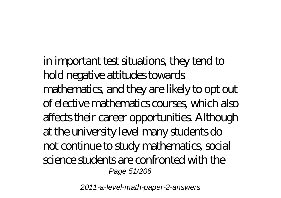in important test situations, they tend to hold negative attitudes towards mathematics, and they are likely to opt out of elective mathematics courses, which also affects their career opportunities. Although at the university level many students do not continue to study mathematics, social science students are confronted with the Page 51/206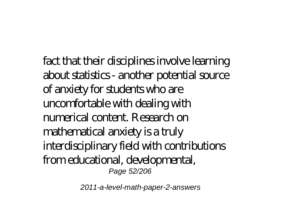fact that their disciplines involve learning about statistics - another potential source of anxiety for students who are uncomfortable with dealing with numerical content. Research on mathematical anxiety is a truly interdisciplinary field with contributions from educational, developmental, Page 52/206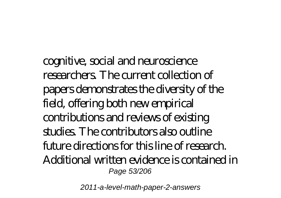cognitive, social and neuroscience researchers. The current collection of papers demonstrates the diversity of the field, offering both new empirical contributions and reviews of existing studies. The contributors also outline  $f$  it ime directions for this line of research. Additional written evidence is contained in Page 53/206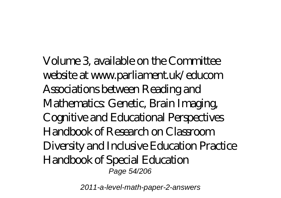Volume 3, available on the Committee website at www.parliament.uk/educom Associations between Reading and Mathematics: Genetic, Brain Imaging, Cognitive and Educational Perspectives Handbook of Research on Classroom Diversity and Inclusive Education Practice Handbook of Special Education Page 54/206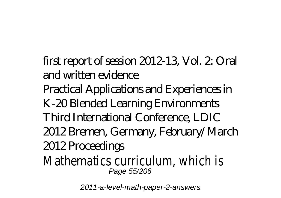first report of session 2012-13, Vol. 2: Oral and written evidence

Practical Applications and Experiences in K-20 Blended Learning Environments Third International Conference, LDIC 2012 Bremen, Germany, February/March 2012 Proceedings

Mathematics curriculum, which is Page 55/206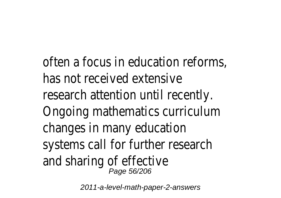often a focus in education reforms, has not received extensive research attention until recently. Ongoing mathematics curriculum changes in many education systems call for further research and sharing of effective Page 56/206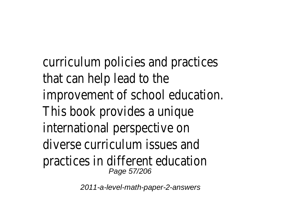curriculum policies and practices that can help lead to the improvement of school education. This book provides a unique international perspective on diverse curriculum issues and practices in different education Page 57/206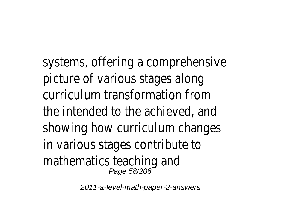systems, offering a comprehensive picture of various stages along curriculum transformation from the intended to the achieved, and showing how curriculum changes in various stages contribute to mathematics teaching and Page 58/206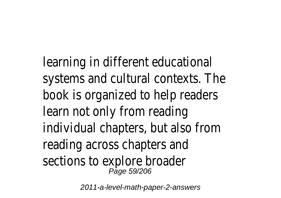learning in different educational systems and cultural contexts. The book is organized to help readers learn not only from reading individual chapters, but also from reading across chapters and sections to explore broader Page 59/206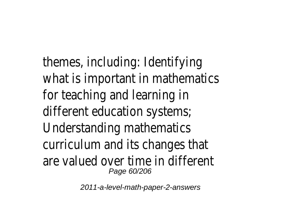themes, including: Identifying what is important in mathematics for teaching and learning in different education systems; Understanding mathematics curriculum and its changes that are valued over time in different Page 60/206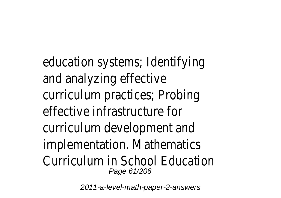education systems; Identifying and analyzing effective curriculum practices; Probing effective infrastructure for curriculum development and implementation. Mathematics Curriculum in School Education Page 61/206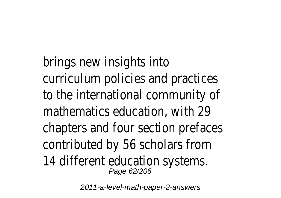brings new insights into curriculum policies and practices to the international community of mathematics education, with 29 chapters and four section prefaces contributed by 56 scholars from 14 different education systems. Page 62/206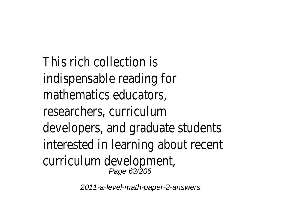This rich collection is indispensable reading for mathematics educators, researchers, curriculum developers, and graduate students interested in learning about recent curriculum development, Page 63/206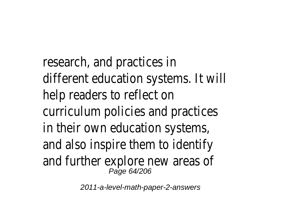research, and practices in different education systems. It will help readers to reflect on curriculum policies and practices in their own education systems, and also inspire them to identify and further explore new areas of Page 64/206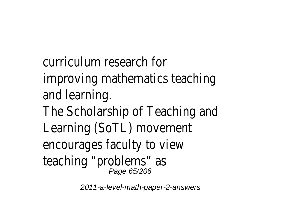curriculum research for improving mathematics teaching and learning. The Scholarship of Teaching and Learning (SoTL) movement encourages faculty to view teaching "problems" as<br><sup>Page 65/206</sup>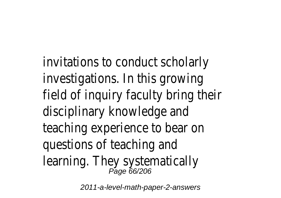invitations to conduct scholarly investigations. In this growing field of inquiry faculty bring their disciplinary knowledge and teaching experience to bear on questions of teaching and learning. They systematically<br><sup>Page 66/206</sup>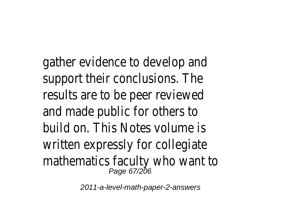gather evidence to develop and support their conclusions. The results are to be peer reviewed and made public for others to build on. This Notes volume is written expressly for collegiate mathematics faculty who want to Page 67/206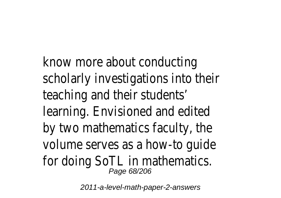know more about conducting scholarly investigations into their teaching and their students' learning. Envisioned and edited by two mathematics faculty, the volume serves as a how-to guide for doing SoTL in mathematics. Page 68/206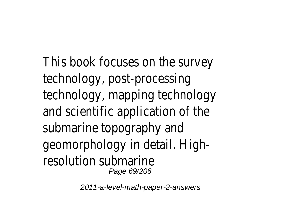This book focuses on the survey technology, post-processing technology, mapping technology and scientific application of the submarine topography and geomorphology in detail. Highresolution submarine Page 69/206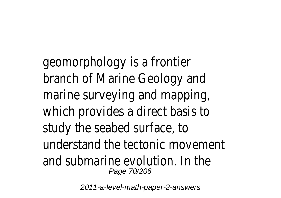geomorphology is a frontier branch of Marine Geology and marine surveying and mapping, which provides a direct basis to study the seabed surface, to understand the tectonic movement and submarine evolution. In the Page 70/206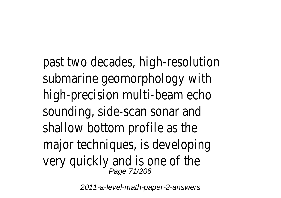past two decades, high-resolution submarine geomorphology with high-precision multi-beam echo sounding, side-scan sonar and shallow bottom profile as the major techniques, is developing very quickly and is one of the<br><sup>Page 71/206</sup>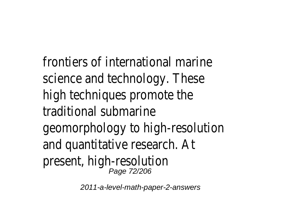frontiers of international marine science and technology. These high techniques promote the traditional submarine geomorphology to high-resolution and quantitative research. At present, high-resolution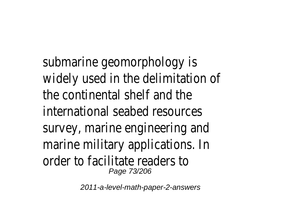submarine geomorphology is widely used in the delimitation the continental shelf and the international seabed resource survey, marine engineering and marine military applications. In order to facilitate readers Page 73/206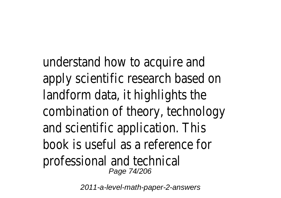understand how to acquire are apply scientific research based on landform data, it highlights the combination of theory, technology and scientific application. This book is useful as a reference for professional and technical Page 74/206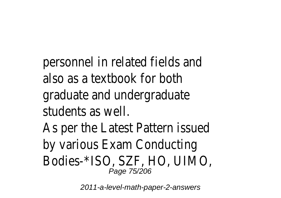personnel in related fields and also as a textbook for both graduate and undergraduat students as well

As per the Latest Pattern issue by various Exam Conducting Bodies-\*ISO, SZF, HO, UIMO, Page 75/206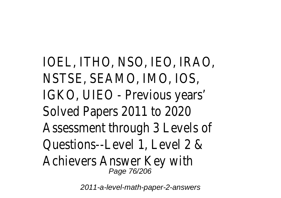IOEL, ITHO, NSO, IEO, IRAO, NSTSE, SEAMO, IMO, IOS, IGKO, UIEO - Previous years' Solved Papers 2011 to 2020 Assessment through 3 Levels of Questions--Level 1, Level 2 & Achievers Answer Key with Page 76/206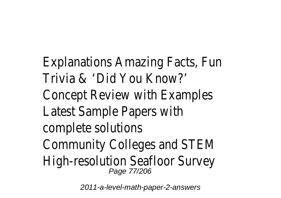Explanations Amazing Facts, Fun Trivia & 'Did You Know?' Concept Review with Example Latest Sample Papers with complete solutions Community Colleges and STEM High-resolution Seafloor Survey Page 77/206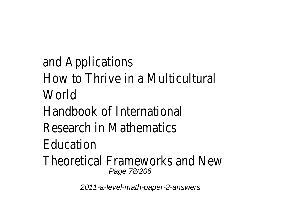and Applications How to Thrive in a Multicultur World Handbook of Internationa Research in Mathematics Education Theoretical Frameworks and New Page 78/206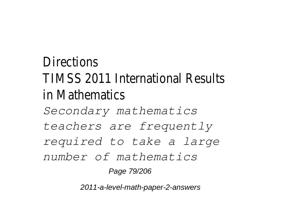## Directions TIMSS 2011 International Results in Mathematics *Secondary mathematics teachers are frequently required to take a large number of mathematics* Page 79/206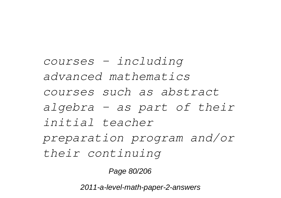*courses – including advanced mathematics courses such as abstract algebra – as part of their initial teacher preparation program and/or their continuing*

Page 80/206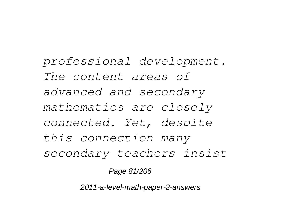*professional development. The content areas of advanced and secondary mathematics are closely connected. Yet, despite this connection many secondary teachers insist*

Page 81/206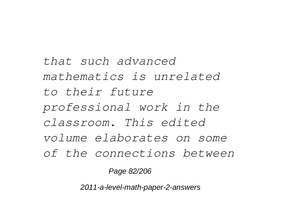*that such advanced mathematics is unrelated to their future professional work in the classroom. This edited volume elaborates on some of the connections between*

Page 82/206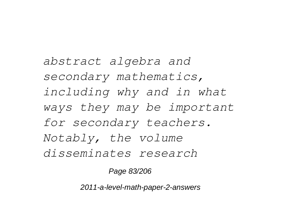*abstract algebra and secondary mathematics, including why and in what ways they may be important for secondary teachers. Notably, the volume disseminates research*

Page 83/206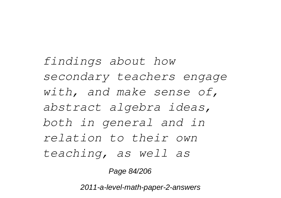*findings about how secondary teachers engage with, and make sense of, abstract algebra ideas, both in general and in relation to their own teaching, as well as*

Page 84/206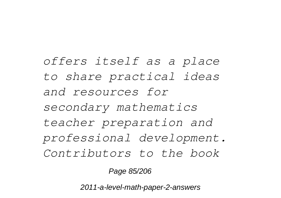*offers itself as a place to share practical ideas and resources for secondary mathematics teacher preparation and professional development. Contributors to the book*

Page 85/206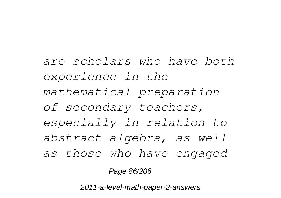*are scholars who have both experience in the mathematical preparation of secondary teachers, especially in relation to abstract algebra, as well as those who have engaged*

Page 86/206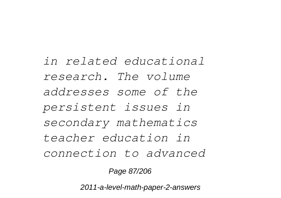*in related educational research. The volume addresses some of the persistent issues in secondary mathematics teacher education in connection to advanced*

Page 87/206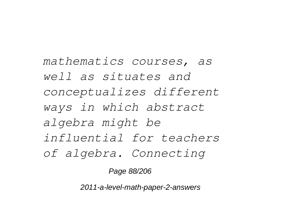*mathematics courses, as well as situates and conceptualizes different ways in which abstract algebra might be influential for teachers of algebra. Connecting*

Page 88/206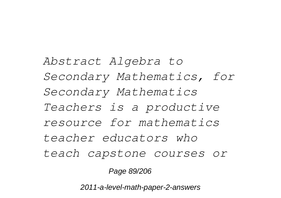*Abstract Algebra to Secondary Mathematics, for Secondary Mathematics Teachers is a productive resource for mathematics teacher educators who teach capstone courses or*

Page 89/206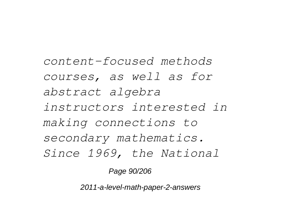*content-focused methods courses, as well as for abstract algebra instructors interested in making connections to secondary mathematics. Since 1969, the National*

Page 90/206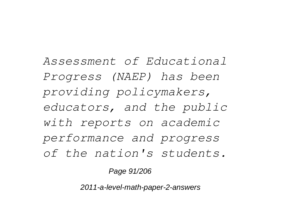*Assessment of Educational Progress (NAEP) has been providing policymakers, educators, and the public with reports on academic performance and progress of the nation's students.*

Page 91/206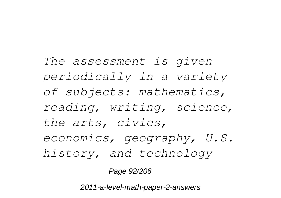*The assessment is given periodically in a variety of subjects: mathematics, reading, writing, science, the arts, civics, economics, geography, U.S. history, and technology*

Page 92/206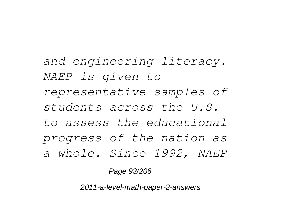*and engineering literacy. NAEP is given to representative samples of students across the U.S. to assess the educational progress of the nation as a whole. Since 1992, NAEP*

Page 93/206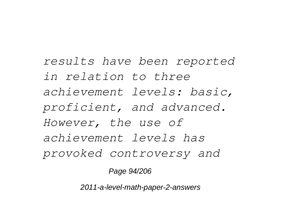*results have been reported in relation to three achievement levels: basic, proficient, and advanced. However, the use of achievement levels has provoked controversy and*

Page 94/206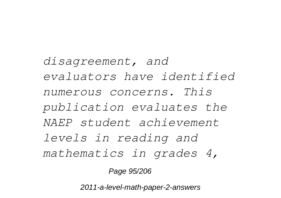*disagreement, and evaluators have identified numerous concerns. This publication evaluates the NAEP student achievement levels in reading and mathematics in grades 4,*

Page 95/206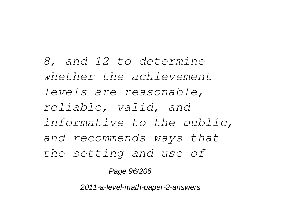*8, and 12 to determine whether the achievement levels are reasonable, reliable, valid, and informative to the public, and recommends ways that the setting and use of*

Page 96/206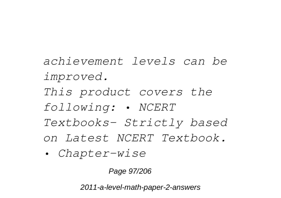- *achievement levels can be improved. This product covers the following: • NCERT Textbooks- Strictly based on Latest NCERT Textbook.*
- *Chapter-wise*

Page 97/206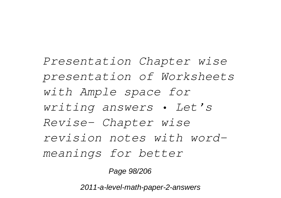*Presentation Chapter wise presentation of Worksheets with Ample space for writing answers • Let's Revise- Chapter wise revision notes with wordmeanings for better*

Page 98/206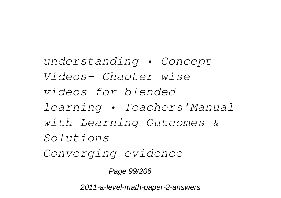*understanding • Concept Videos- Chapter wise videos for blended learning • Teachers'Manual with Learning Outcomes & Solutions Converging evidence*

Page 99/206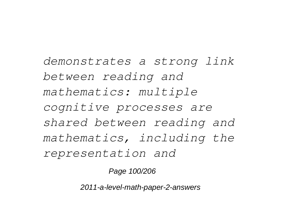*demonstrates a strong link between reading and mathematics: multiple cognitive processes are shared between reading and mathematics, including the representation and*

Page 100/206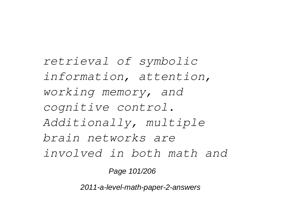*retrieval of symbolic information, attention, working memory, and cognitive control. Additionally, multiple brain networks are involved in both math and*

Page 101/206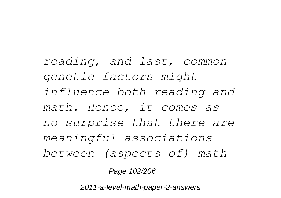*reading, and last, common genetic factors might influence both reading and math. Hence, it comes as no surprise that there are meaningful associations between (aspects of) math*

Page 102/206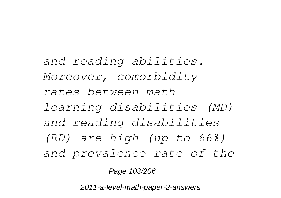*and reading abilities. Moreover, comorbidity rates between math learning disabilities (MD) and reading disabilities (RD) are high (up to 66%) and prevalence rate of the*

Page 103/206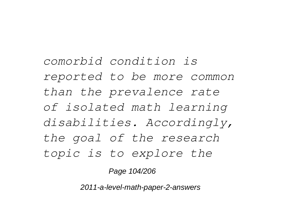*comorbid condition is reported to be more common than the prevalence rate of isolated math learning disabilities. Accordingly, the goal of the research topic is to explore the*

Page 104/206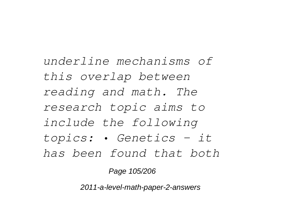*underline mechanisms of this overlap between reading and math. The research topic aims to include the following topics: • Genetics - it has been found that both*

Page 105/206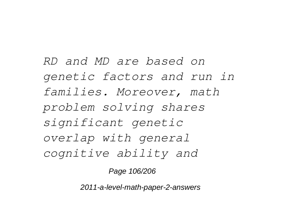*RD and MD are based on genetic factors and run in families. Moreover, math problem solving shares significant genetic overlap with general cognitive ability and*

Page 106/206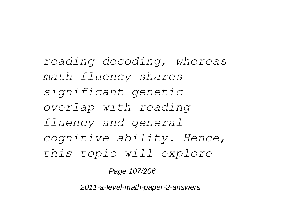*reading decoding, whereas math fluency shares significant genetic overlap with reading fluency and general cognitive ability. Hence, this topic will explore*

Page 107/206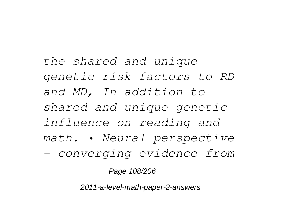*the shared and unique genetic risk factors to RD and MD, In addition to shared and unique genetic influence on reading and math. • Neural perspective - converging evidence from*

Page 108/206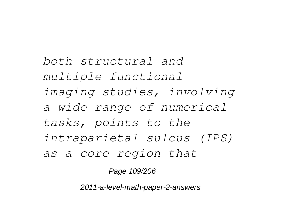*both structural and multiple functional imaging studies, involving a wide range of numerical tasks, points to the intraparietal sulcus (IPS) as a core region that*

Page 109/206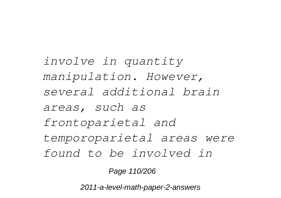*involve in quantity manipulation. However, several additional brain areas, such as frontoparietal and temporoparietal areas were found to be involved in*

Page 110/206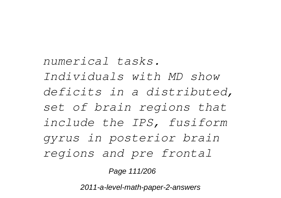*numerical tasks. Individuals with MD show deficits in a distributed, set of brain regions that include the IPS, fusiform gyrus in posterior brain regions and pre frontal*

Page 111/206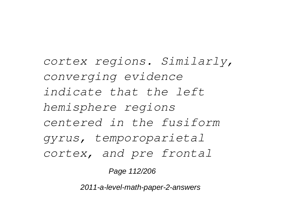*cortex regions. Similarly, converging evidence indicate that the left hemisphere regions centered in the fusiform gyrus, temporoparietal cortex, and pre frontal*

Page 112/206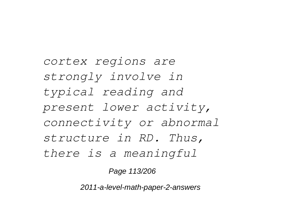*cortex regions are strongly involve in typical reading and present lower activity, connectivity or abnormal structure in RD. Thus, there is a meaningful*

Page 113/206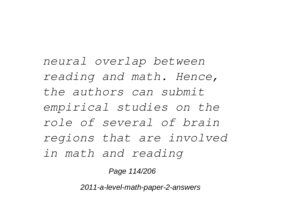*neural overlap between reading and math. Hence, the authors can submit empirical studies on the role of several of brain regions that are involved in math and reading*

Page 114/206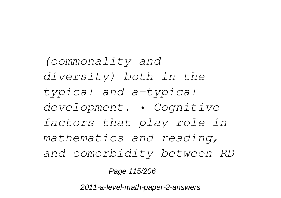*(commonality and diversity) both in the typical and a-typical development. • Cognitive factors that play role in mathematics and reading, and comorbidity between RD*

Page 115/206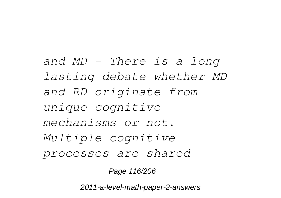*and MD - There is a long lasting debate whether MD and RD originate from unique cognitive mechanisms or not. Multiple cognitive processes are shared*

Page 116/206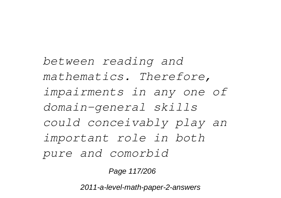*between reading and mathematics. Therefore, impairments in any one of domain-general skills could conceivably play an important role in both pure and comorbid*

Page 117/206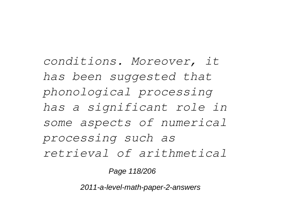*conditions. Moreover, it has been suggested that phonological processing has a significant role in some aspects of numerical processing such as retrieval of arithmetical*

Page 118/206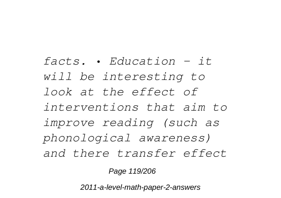*facts. • Education - it will be interesting to look at the effect of interventions that aim to improve reading (such as phonological awareness) and there transfer effect*

Page 119/206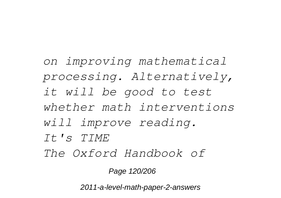*on improving mathematical processing. Alternatively, it will be good to test whether math interventions will improve reading. It's TIME The Oxford Handbook of*

Page 120/206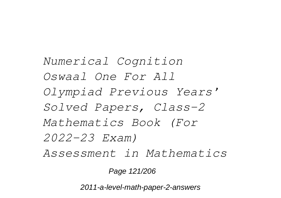*Numerical Cognition Oswaal One For All Olympiad Previous Years' Solved Papers, Class-2 Mathematics Book (For 2022-23 Exam) Assessment in Mathematics*

Page 121/206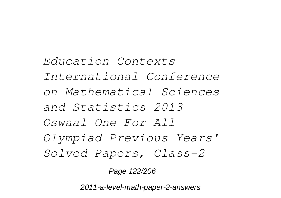*Education Contexts International Conference on Mathematical Sciences and Statistics 2013 Oswaal One For All Olympiad Previous Years' Solved Papers, Class-2*

Page 122/206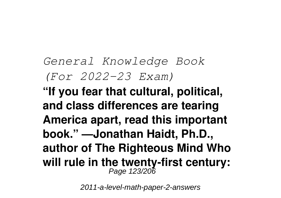## *General Knowledge Book (For 2022-23 Exam)*

**"If you fear that cultural, political, and class differences are tearing America apart, read this important book." —Jonathan Haidt, Ph.D., author of The Righteous Mind Who will rule in the twenty-first century:** Page 123/206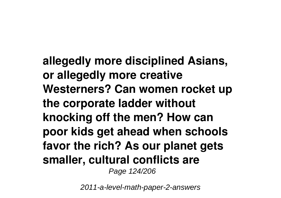**allegedly more disciplined Asians, or allegedly more creative Westerners? Can women rocket up the corporate ladder without knocking off the men? How can poor kids get ahead when schools favor the rich? As our planet gets smaller, cultural conflicts are** Page 124/206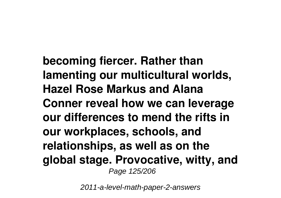**becoming fiercer. Rather than lamenting our multicultural worlds, Hazel Rose Markus and Alana Conner reveal how we can leverage our differences to mend the rifts in our workplaces, schools, and relationships, as well as on the global stage. Provocative, witty, and** Page 125/206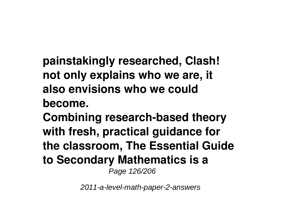**painstakingly researched, Clash! not only explains who we are, it also envisions who we could**

**become.**

**Combining research-based theory with fresh, practical guidance for the classroom, The Essential Guide to Secondary Mathematics is a** Page 126/206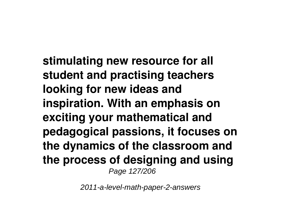**stimulating new resource for all student and practising teachers looking for new ideas and inspiration. With an emphasis on exciting your mathematical and pedagogical passions, it focuses on the dynamics of the classroom and the process of designing and using** Page 127/206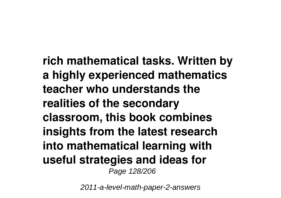**rich mathematical tasks. Written by a highly experienced mathematics teacher who understands the realities of the secondary classroom, this book combines insights from the latest research into mathematical learning with useful strategies and ideas for** Page 128/206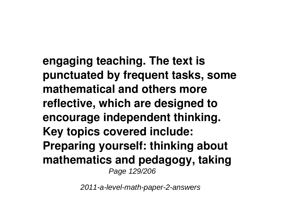**engaging teaching. The text is punctuated by frequent tasks, some mathematical and others more reflective, which are designed to encourage independent thinking. Key topics covered include: Preparing yourself: thinking about mathematics and pedagogy, taking** Page 129/206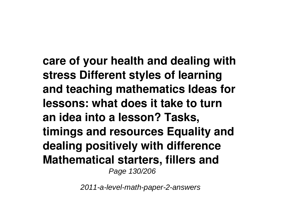**care of your health and dealing with stress Different styles of learning and teaching mathematics Ideas for lessons: what does it take to turn an idea into a lesson? Tasks, timings and resources Equality and dealing positively with difference Mathematical starters, fillers and** Page 130/206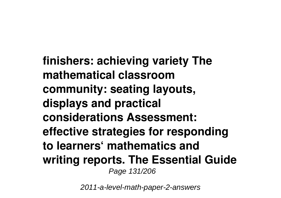**finishers: achieving variety The mathematical classroom community: seating layouts, displays and practical considerations Assessment: effective strategies for responding to learners' mathematics and writing reports. The Essential Guide** Page 131/206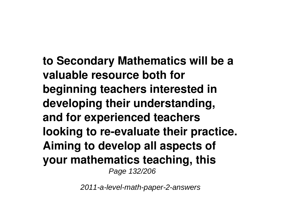**to Secondary Mathematics will be a valuable resource both for beginning teachers interested in developing their understanding, and for experienced teachers looking to re-evaluate their practice. Aiming to develop all aspects of your mathematics teaching, this** Page 132/206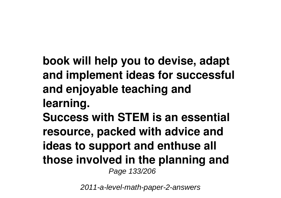**book will help you to devise, adapt and implement ideas for successful and enjoyable teaching and learning.**

**Success with STEM is an essential resource, packed with advice and ideas to support and enthuse all those involved in the planning and** Page 133/206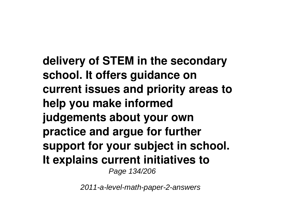**delivery of STEM in the secondary school. It offers guidance on current issues and priority areas to help you make informed judgements about your own practice and argue for further support for your subject in school. It explains current initiatives to** Page 134/206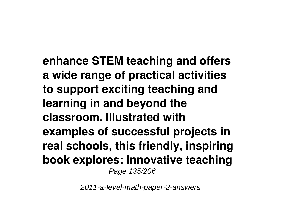**enhance STEM teaching and offers a wide range of practical activities to support exciting teaching and learning in and beyond the classroom. Illustrated with examples of successful projects in real schools, this friendly, inspiring book explores: Innovative teaching** Page 135/206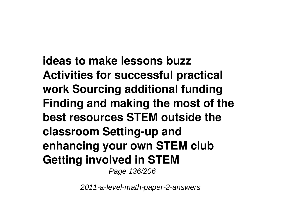**ideas to make lessons buzz Activities for successful practical work Sourcing additional funding Finding and making the most of the best resources STEM outside the classroom Setting-up and enhancing your own STEM club Getting involved in STEM** Page 136/206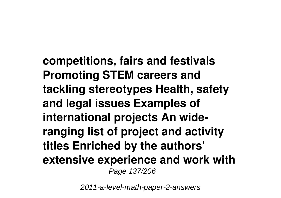**competitions, fairs and festivals Promoting STEM careers and tackling stereotypes Health, safety and legal issues Examples of international projects An wideranging list of project and activity titles Enriched by the authors' extensive experience and work with** Page 137/206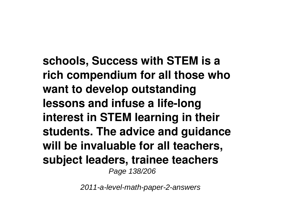**schools, Success with STEM is a rich compendium for all those who want to develop outstanding lessons and infuse a life-long interest in STEM learning in their students. The advice and guidance will be invaluable for all teachers, subject leaders, trainee teachers** Page 138/206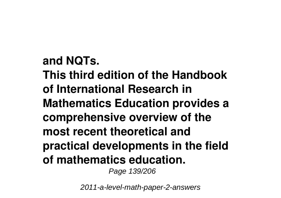**and NQTs. This third edition of the Handbook of International Research in Mathematics Education provides a comprehensive overview of the most recent theoretical and practical developments in the field of mathematics education.** Page 139/206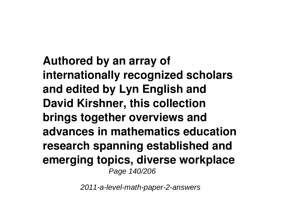**Authored by an array of internationally recognized scholars and edited by Lyn English and David Kirshner, this collection brings together overviews and advances in mathematics education research spanning established and emerging topics, diverse workplace** Page 140/206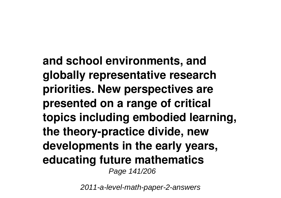**and school environments, and globally representative research priorities. New perspectives are presented on a range of critical topics including embodied learning, the theory-practice divide, new developments in the early years, educating future mathematics** Page 141/206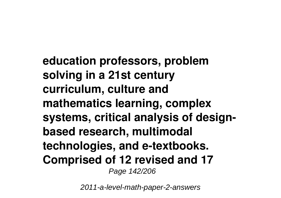**education professors, problem solving in a 21st century curriculum, culture and mathematics learning, complex systems, critical analysis of designbased research, multimodal technologies, and e-textbooks. Comprised of 12 revised and 17** Page 142/206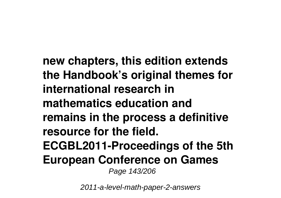**new chapters, this edition extends the Handbook's original themes for international research in mathematics education and remains in the process a definitive resource for the field. ECGBL2011-Proceedings of the 5th European Conference on Games** Page 143/206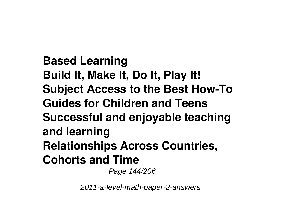**Based Learning Build It, Make It, Do It, Play It! Subject Access to the Best How-To Guides for Children and Teens Successful and enjoyable teaching and learning Relationships Across Countries, Cohorts and Time** Page 144/206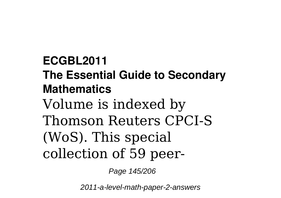**ECGBL2011 The Essential Guide to Secondary Mathematics** Volume is indexed by Thomson Reuters CPCI-S (WoS). This special collection of 59 peer-

Page 145/206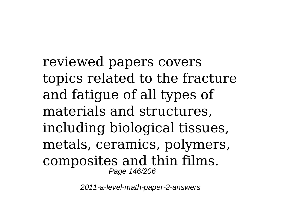reviewed papers covers topics related to the fracture and fatigue of all types of materials and structures, including biological tissues, metals, ceramics, polymers, composites and thin films. Page 146/206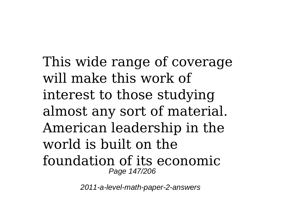This wide range of coverage will make this work of interest to those studying almost any sort of material. American leadership in the world is built on the foundation of its economic Page 147/206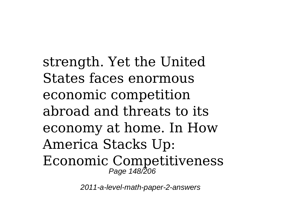strength. Yet the United States faces enormous economic competition abroad and threats to its economy at home. In How America Stacks Up: Economic Competitiveness Page 148/206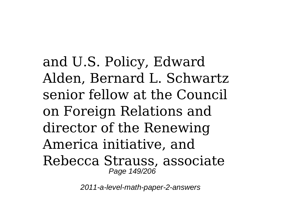and U.S. Policy, Edward Alden, Bernard L. Schwartz senior fellow at the Council on Foreign Relations and director of the Renewing America initiative, and Rebecca Strauss, associate Page 149/206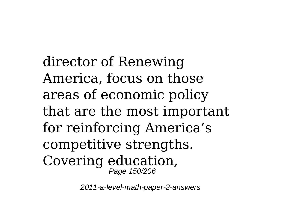director of Renewing America, focus on those areas of economic policy that are the most important for reinforcing America's competitive strengths. Covering education, Page 150/206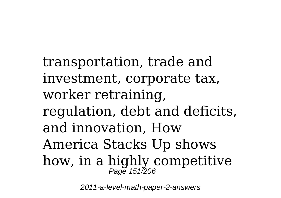transportation, trade and investment, corporate tax, worker retraining, regulation, debt and deficits, and innovation, How America Stacks Up shows how, in a highly competitive Page 151/206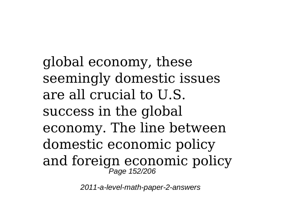global economy, these seemingly domestic issues are all crucial to U.S. success in the global economy. The line between domestic economic policy and foreign economic policy Page 152/206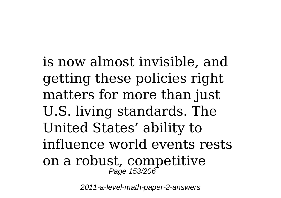is now almost invisible, and getting these policies right matters for more than just U.S. living standards. The United States' ability to influence world events rests on a robust, competitive Page 153/206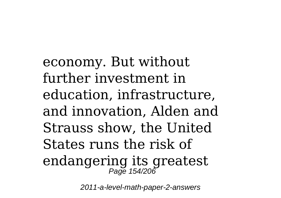economy. But without further investment in education, infrastructure, and innovation, Alden and Strauss show, the United States runs the risk of endangering its greatest Page 154/206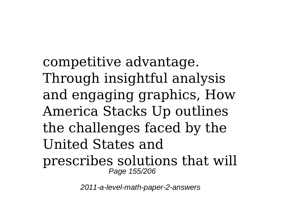competitive advantage. Through insightful analysis and engaging graphics, How America Stacks Up outlines the challenges faced by the United States and prescribes solutions that will Page 155/206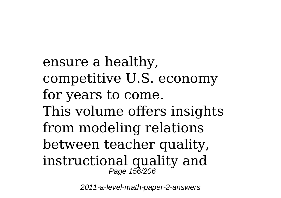ensure a healthy, competitive U.S. economy for years to come. This volume offers insights from modeling relations between teacher quality, instructional quality and Page 156/206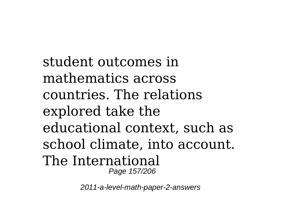student outcomes in mathematics across countries. The relations explored take the educational context, such as school climate, into account. The International Page 157/206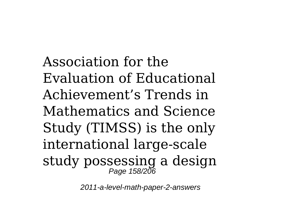Association for the Evaluation of Educational Achievement's Trends in Mathematics and Science Study (TIMSS) is the only international large-scale study possessing a design Page 158/206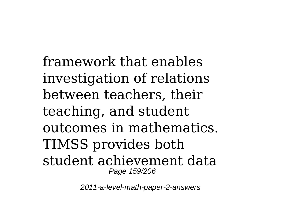framework that enables investigation of relations between teachers, their teaching, and student outcomes in mathematics. TIMSS provides both student achievement data Page 159/206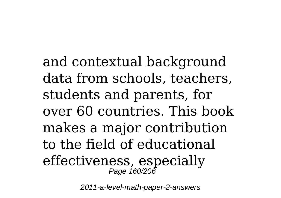and contextual background data from schools, teachers, students and parents, for over 60 countries. This book makes a major contribution to the field of educational effectiveness, especially Page 160/206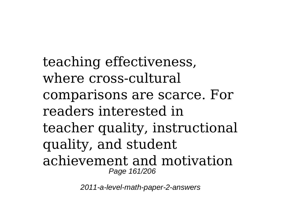teaching effectiveness, where cross-cultural comparisons are scarce. For readers interested in teacher quality, instructional quality, and student achievement and motivation Page 161/206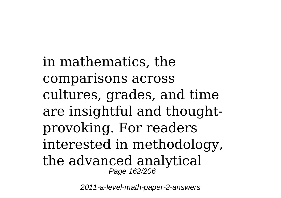in mathematics, the comparisons across cultures, grades, and time are insightful and thoughtprovoking. For readers interested in methodology, the advanced analytical Page 162/206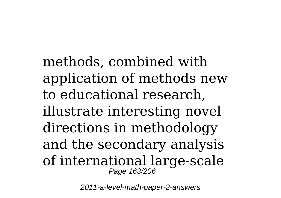methods, combined with application of methods new to educational research, illustrate interesting novel directions in methodology and the secondary analysis of international large-scale Page 163/206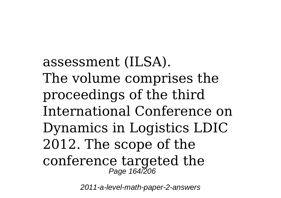assessment (ILSA). The volume comprises the proceedings of the third International Conference on Dynamics in Logistics LDIC 2012. The scope of the conference targeted the Page 164/206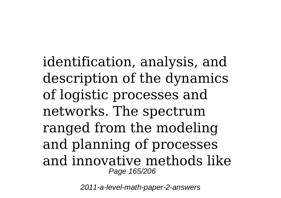identification, analysis, and description of the dynamics of logistic processes and networks. The spectrum ranged from the modeling and planning of processes and innovative methods like Page 165/206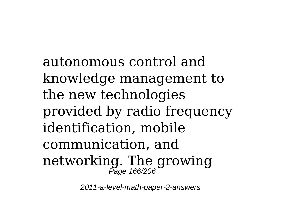autonomous control and knowledge management to the new technologies provided by radio frequency identification, mobile communication, and networking. The growing Page 166/206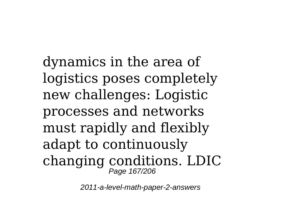dynamics in the area of logistics poses completely new challenges: Logistic processes and networks must rapidly and flexibly adapt to continuously changing conditions. LDIC Page 167/206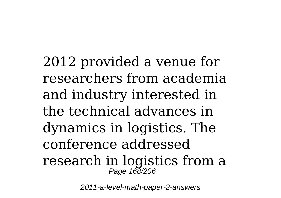2012 provided a venue for researchers from academia and industry interested in the technical advances in dynamics in logistics. The conference addressed research in logistics from a Page 168/206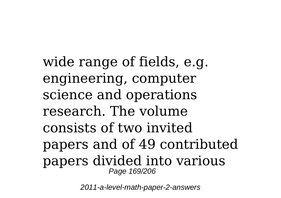wide range of fields, e.g. engineering, computer science and operations research. The volume consists of two invited papers and of 49 contributed papers divided into various Page 169/206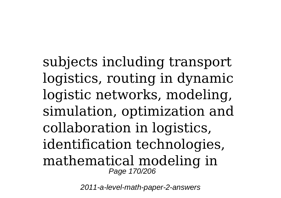subjects including transport logistics, routing in dynamic logistic networks, modeling, simulation, optimization and collaboration in logistics, identification technologies, mathematical modeling in Page 170/206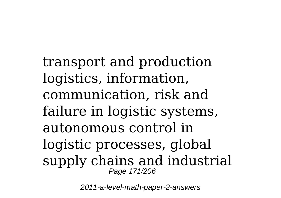transport and production logistics, information, communication, risk and failure in logistic systems, autonomous control in logistic processes, global supply chains and industrial Page 171/206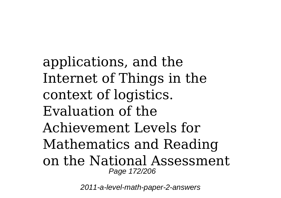applications, and the Internet of Things in the context of logistics. Evaluation of the Achievement Levels for Mathematics and Reading on the National Assessment Page 172/206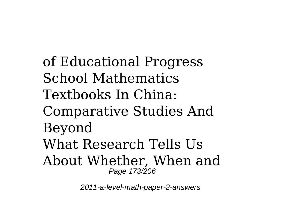of Educational Progress School Mathematics Textbooks In China: Comparative Studies And Beyond What Research Tells Us About Whether, When and Page 173/206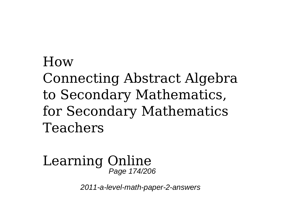## How Connecting Abstract Algebra to Secondary Mathematics, for Secondary Mathematics Teachers

## Learning Online Page 174/206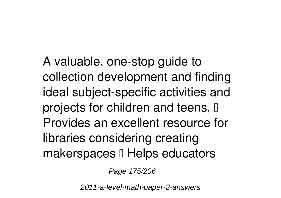A valuable, one-stop guide to collection development and finding ideal subject-specific activities and projects for children and teens.  $\mathbb I$ Provides an excellent resource for libraries considering creating makerspaces  $\mathbb I$  Helps educators

Page 175/206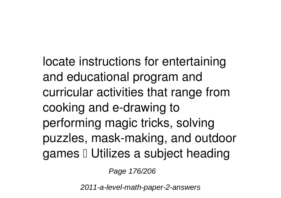locate instructions for entertaining and educational program and curricular activities that range from cooking and e-drawing to performing magic tricks, solving puzzles, mask-making, and outdoor games I Utilizes a subject heading

Page 176/206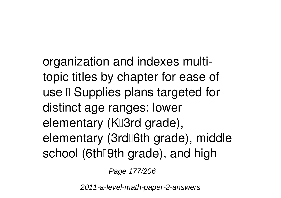organization and indexes multitopic titles by chapter for ease of use  $\Box$  Supplies plans targeted for distinct age ranges: lower elementary (K<sup>I</sup>3rd grade), elementary (3rd[6th grade), middle school (6th<sup>[9th</sup> grade), and high

Page 177/206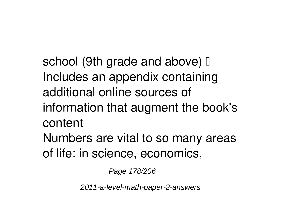school (9th grade and above)  $\mathbb I$ Includes an appendix containing additional online sources of information that augment the book's content Numbers are vital to so many areas of life: in science, economics,

Page 178/206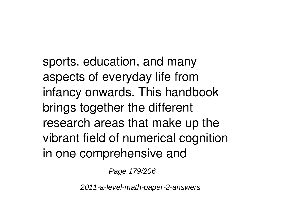sports, education, and many aspects of everyday life from infancy onwards. This handbook brings together the different research areas that make up the vibrant field of numerical cognition in one comprehensive and

Page 179/206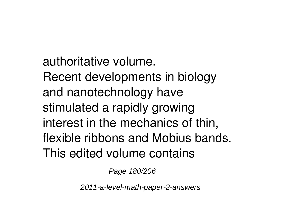authoritative volume. Recent developments in biology and nanotechnology have stimulated a rapidly growing interest in the mechanics of thin, flexible ribbons and Mobius bands. This edited volume contains

Page 180/206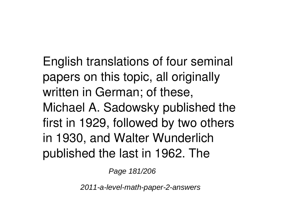English translations of four seminal papers on this topic, all originally written in German; of these, Michael A. Sadowsky published the first in 1929, followed by two others in 1930, and Walter Wunderlich published the last in 1962. The

Page 181/206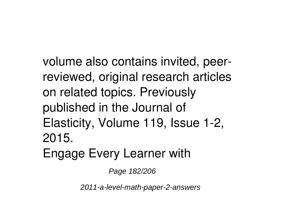volume also contains invited, peerreviewed, original research articles on related topics. Previously published in the Journal of Elasticity, Volume 119, Issue 1-2, 2015. Engage Every Learner with

Page 182/206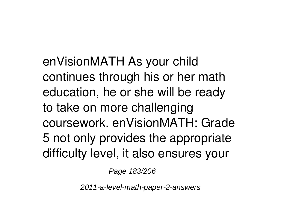enVisionMATH As your child continues through his or her math education, he or she will be ready to take on more challenging coursework. enVisionMATH: Grade 5 not only provides the appropriate difficulty level, it also ensures your

Page 183/206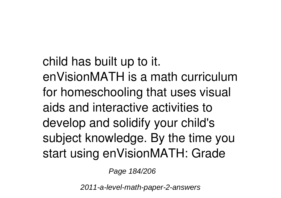child has built up to it. enVisionMATH is a math curriculum for homeschooling that uses visual aids and interactive activities to develop and solidify your child's subject knowledge. By the time you start using enVisionMATH: Grade

Page 184/206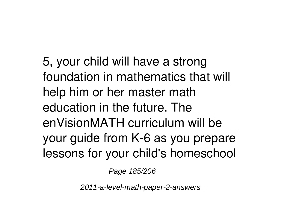5, your child will have a strong foundation in mathematics that will help him or her master math education in the future. The enVisionMATH curriculum will be your guide from K-6 as you prepare lessons for your child's homeschool

Page 185/206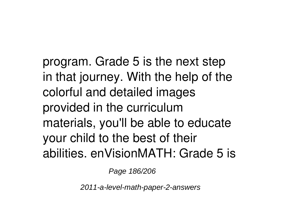program. Grade 5 is the next step in that journey. With the help of the colorful and detailed images provided in the curriculum materials, you'll be able to educate your child to the best of their abilities. enVisionMATH: Grade 5 is

Page 186/206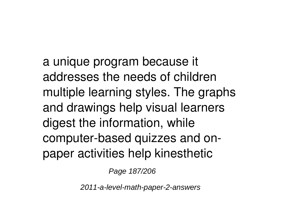a unique program because it addresses the needs of children multiple learning styles. The graphs and drawings help visual learners digest the information, while computer-based quizzes and onpaper activities help kinesthetic

Page 187/206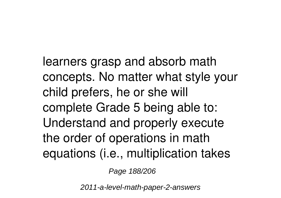learners grasp and absorb math concepts. No matter what style your child prefers, he or she will complete Grade 5 being able to: Understand and properly execute the order of operations in math equations (i.e., multiplication takes

Page 188/206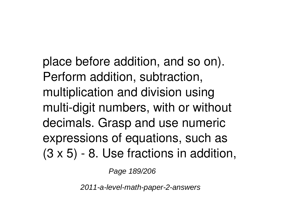place before addition, and so on). Perform addition, subtraction, multiplication and division using multi-digit numbers, with or without decimals. Grasp and use numeric expressions of equations, such as (3 x 5) - 8. Use fractions in addition,

Page 189/206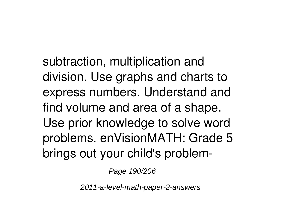subtraction, multiplication and division. Use graphs and charts to express numbers. Understand and find volume and area of a shape. Use prior knowledge to solve word problems. enVisionMATH: Grade 5 brings out your child's problem-

Page 190/206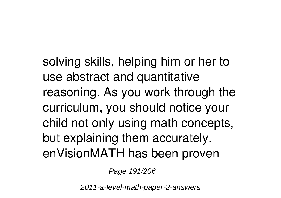solving skills, helping him or her to use abstract and quantitative reasoning. As you work through the curriculum, you should notice your child not only using math concepts, but explaining them accurately. enVisionMATH has been proven

Page 191/206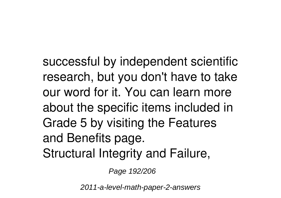successful by independent scientific research, but you don't have to take our word for it. You can learn more about the specific items included in Grade 5 by visiting the Features and Benefits page. Structural Integrity and Failure,

Page 192/206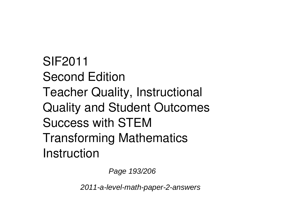SIF2011 Second Edition Teacher Quality, Instructional Quality and Student Outcomes Success with STEM Transforming Mathematics Instruction

Page 193/206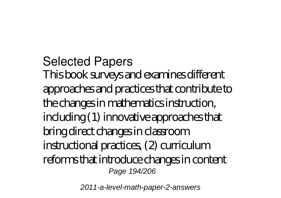Selected Papers This book surveys and examines different approaches and practices that contribute to the changes in mathematics instruction, including (1) innovative approaches that bring direct changes in classroom instructional practices, (2) curriculum reforms that introduce changes in content Page 194/206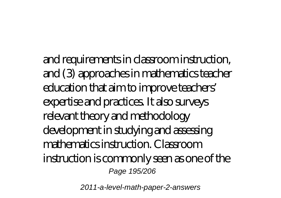and requirements in classroom instruction, and (3) approaches in mathematics teacher education that aim to improve teachers' expertise and practices. It also surveys relevant theory and methodology development in studying and assessing mathematics instruction. Classroom instruction is commonly seen as one of the Page 195/206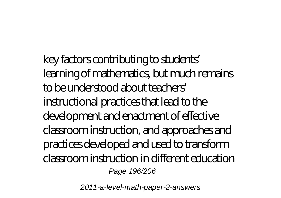key factors contributing to students' learning of mathematics, but much remains to be understood about teachers' instructional practices that lead to the development and enactment of effective classroom instruction, and approaches and practices developed and used to transform classroom instruction in different education Page 196/206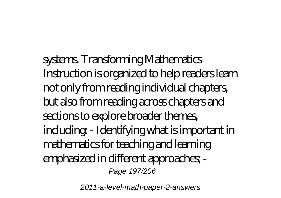systems. Transforming Mathematics Instruction is organized to help readers learn not only from reading individual chapters, but also from reading across chapters and sections to explore broader themes, including: - Identifying what is important in mathematics for teaching and learning emphasized in different approaches; - Page 197/206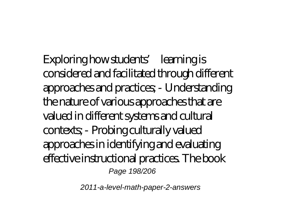Exploring how students' learning is considered and facilitated through different approaches and practices; - Understanding the nature of various approaches that are valued in different systems and cultural contexts; - Probing culturally valued approaches in identifying and evaluating effective instructional practices. The book Page 198/206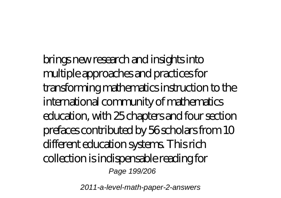brings new research and insights into multiple approaches and practices for transforming mathematics instruction to the international community of mathematics education, with 25 chapters and four section prefaces contributed by 56 scholars from 10 different education systems. This rich collection is indispensable reading for Page 199/206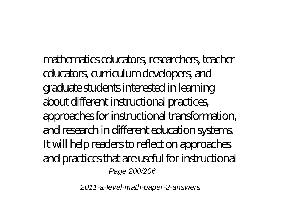mathematics educators, researchers, teacher educators, curriculum developers, and graduate students interested in learning about different instructional practices, approaches for instructional transformation, and research in different education systems. It will help readers to reflect on approaches and practices that are useful for instructional Page 200/206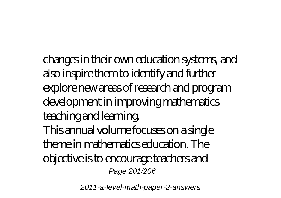changes in their own education systems, and also inspire them to identify and further explore new areas of research and program development in improving mathematics teaching and learning. This annual volume focuses on a single theme in mathematics education. The objective is to encourage teachers and Page 201/206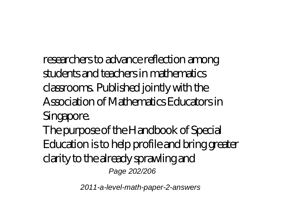researchers to advance reflection among students and teachers in mathematics classrooms. Published jointly with the Association of Mathematics Educators in Singapore. The purpose of the Handbook of Special Education is to help profile and bring greater clarity to the already sprawling and Page 202/206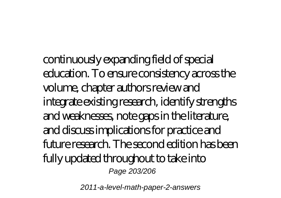continuously expanding field of special education. To ensure consistency across the volume, chapter authors review and integrate existing research, identify strengths and weaknesses, note gaps in the literature, and discuss implications for practice and future research. The second edition has been fully updated throughout to take into Page 203/206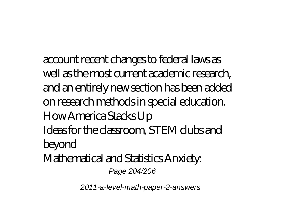account recent changes to federal laws as well as the most current academic research, and an entirely new section has been added on research methods in special education. How America Stacks Up Ideas for the classroom, STEM clubs and beyond Mathematical and Statistics Anxiety:

Page 204/206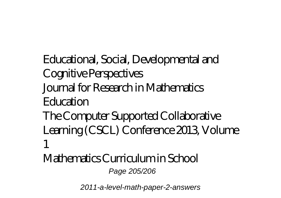Educational, Social, Developmental and Cognitive Perspectives Journal for Research in Mathematics Education The Computer Supported Collaborative Learning (CSCL) Conference 2013, Volume 1

Mathematics Curriculum in School Page 205/206